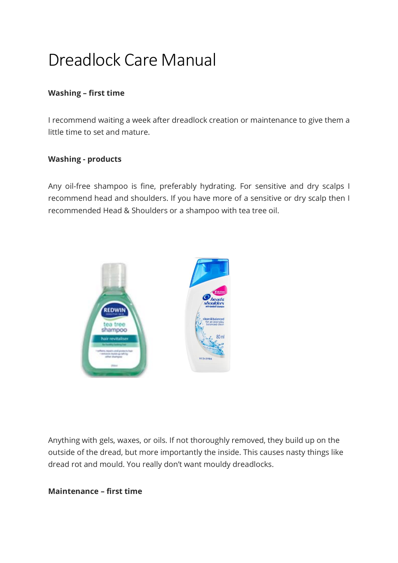# Dreadlock Care Manual

## **Washing – first time**

I recommend waiting a week after dreadlock creation or maintenance to give them a little time to set and mature.

#### **Washing - products**

Any oil-free shampoo is fine, preferably hydrating. For sensitive and dry scalps I recommend head and shoulders. If you have more of a sensitive or dry scalp then I recommended Head & Shoulders or a shampoo with tea tree oil.



Anything with gels, waxes, or oils. If not thoroughly removed, they build up on the outside of the dread, but more importantly the inside. This causes nasty things like dread rot and mould. You really don't want mouldy dreadlocks.

#### **Maintenance – first time**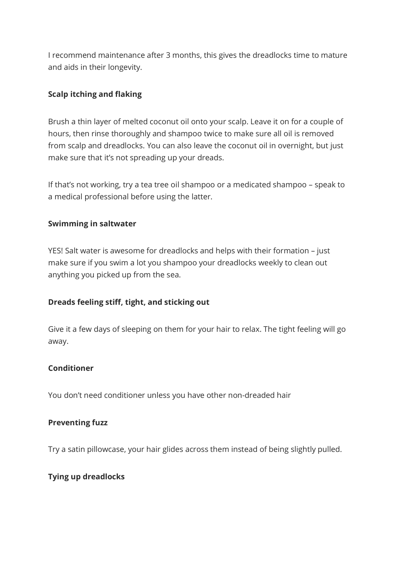I recommend maintenance after 3 months, this gives the dreadlocks time to mature and aids in their longevity.

# **Scalp itching and flaking**

Brush a thin layer of melted coconut oil onto your scalp. Leave it on for a couple of hours, then rinse thoroughly and shampoo twice to make sure all oil is removed from scalp and dreadlocks. You can also leave the coconut oil in overnight, but just make sure that it's not spreading up your dreads.

If that's not working, try a tea tree oil shampoo or a medicated shampoo – speak to a medical professional before using the latter.

## **Swimming in saltwater**

YES! Salt water is awesome for dreadlocks and helps with their formation – just make sure if you swim a lot you shampoo your dreadlocks weekly to clean out anything you picked up from the sea.

## **Dreads feeling stiff, tight, and sticking out**

Give it a few days of sleeping on them for your hair to relax. The tight feeling will go away.

## **Conditioner**

You don't need conditioner unless you have other non-dreaded hair

## **Preventing fuzz**

Try a satin pillowcase, your hair glides across them instead of being slightly pulled.

## **Tying up dreadlocks**